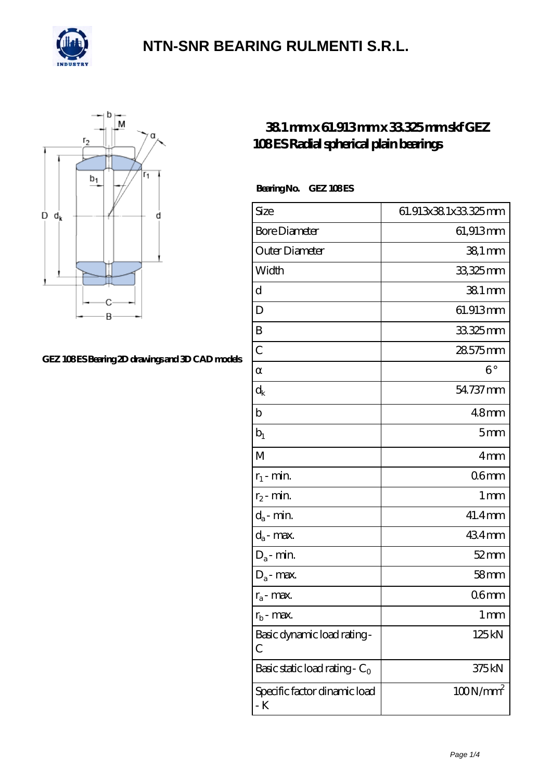



#### [GEZ 108 ES Bearing 2D drawings and 3D CAD models](https://m.confidencemenimprov.com/pic-64975113.html)

#### **[38.1 mm x 61.913 mm x 33.325 mm skf GEZ](https://m.confidencemenimprov.com/bs-64975113-skf-gez-108-es-radial-spherical-plain-bearings.html) [108 ES Radial spherical plain bearings](https://m.confidencemenimprov.com/bs-64975113-skf-gez-108-es-radial-spherical-plain-bearings.html)**

Bearing No. GEZ 108ES

| Size                                | 61.913x381x33325mm |
|-------------------------------------|--------------------|
| <b>Bore Diameter</b>                | 61,913mm           |
| Outer Diameter                      | 38,1 mm            |
| Width                               | 33,325mm           |
| d                                   | 381 mm             |
| D                                   | 61.913mm           |
| B                                   | 33325mm            |
| $\overline{C}$                      | 28575mm            |
|                                     | $6^{\circ}$        |
| $\rm{d_k}$                          | 54.737 mm          |
| $\mathbf b$                         | 48 <sub>mm</sub>   |
| $b_1$                               | 5 <sub>mm</sub>    |
| M                                   | 4mm                |
| $r_1$ - min.                        | 06 <sub>mm</sub>   |
| $r_2$ - min.                        | 1 <sub>mm</sub>    |
| $d_a$ - min.                        | 41.4mm             |
| $d_a$ - max.                        | 434mm              |
| $D_a$ - min.                        | $52$ mm            |
| $D_a$ - max.                        | 58 <sub>mm</sub>   |
| $r_a$ - max.                        | 06 <sub>mm</sub>   |
| $r_{\rm b}$ - max.                  | 1 mm               |
| Basic dynamic load rating-<br>С     | 125kN              |
| Basic static load rating - $C_0$    | 375kN              |
| Specific factor dinamic load<br>- K | $100N/mm^2$        |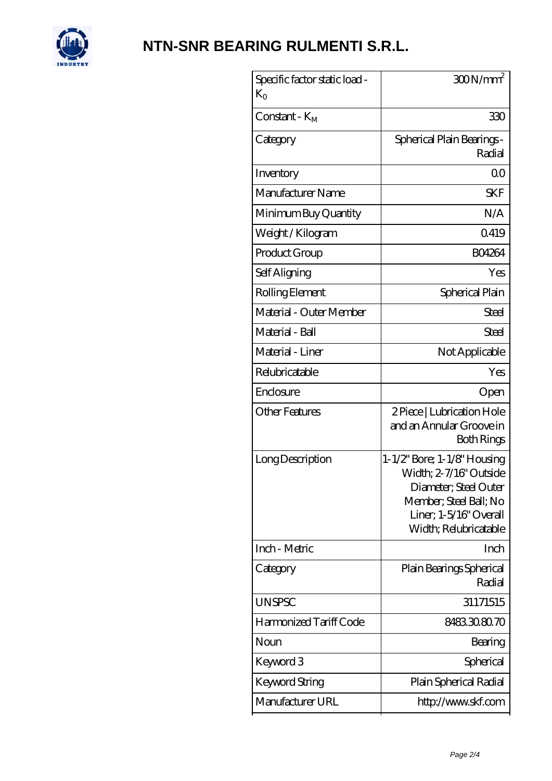

| Specific factor static load -<br>$K_{O}$ | $300N/mm^2$                                                                                                                                                 |
|------------------------------------------|-------------------------------------------------------------------------------------------------------------------------------------------------------------|
| $Constant - KM$                          | 330                                                                                                                                                         |
| Category                                 | Spherical Plain Bearings -<br>Radial                                                                                                                        |
| Inventory                                | 0 <sup>0</sup>                                                                                                                                              |
| Manufacturer Name                        | <b>SKF</b>                                                                                                                                                  |
| Minimum Buy Quantity                     | N/A                                                                                                                                                         |
| Weight / Kilogram                        | Q419                                                                                                                                                        |
| Product Group                            | <b>BO4264</b>                                                                                                                                               |
| Self Aligning                            | Yes                                                                                                                                                         |
| Rolling Element                          | Spherical Plain                                                                                                                                             |
| Material - Outer Member                  | <b>Steel</b>                                                                                                                                                |
| Material - Ball                          | Steel                                                                                                                                                       |
| Material - Liner                         | Not Applicable                                                                                                                                              |
| Relubricatable                           | Yes                                                                                                                                                         |
| Enclosure                                | Open                                                                                                                                                        |
| Other Features                           | 2 Piece   Lubrication Hole<br>and an Annular Groove in<br>Both Rings                                                                                        |
| Long Description                         | 1-1/2" Bore; 1-1/8" Housing<br>Width; 2-7/16" Outside<br>Diameter; Steel Outer<br>Member; Steel Ball; No<br>Liner; 1-5/16" Overall<br>Width; Relubricatable |
| Inch - Metric                            | Inch                                                                                                                                                        |
| Category                                 | Plain Bearings Spherical<br>Radial                                                                                                                          |
| <b>UNSPSC</b>                            | 31171515                                                                                                                                                    |
| Harmonized Tariff Code                   | 8483308070                                                                                                                                                  |
| Noun                                     | Bearing                                                                                                                                                     |
| Keyword 3                                | Spherical                                                                                                                                                   |
| Keyword String                           | Plain Spherical Radial                                                                                                                                      |
| Manufacturer URL                         | http://www.skf.com                                                                                                                                          |
|                                          |                                                                                                                                                             |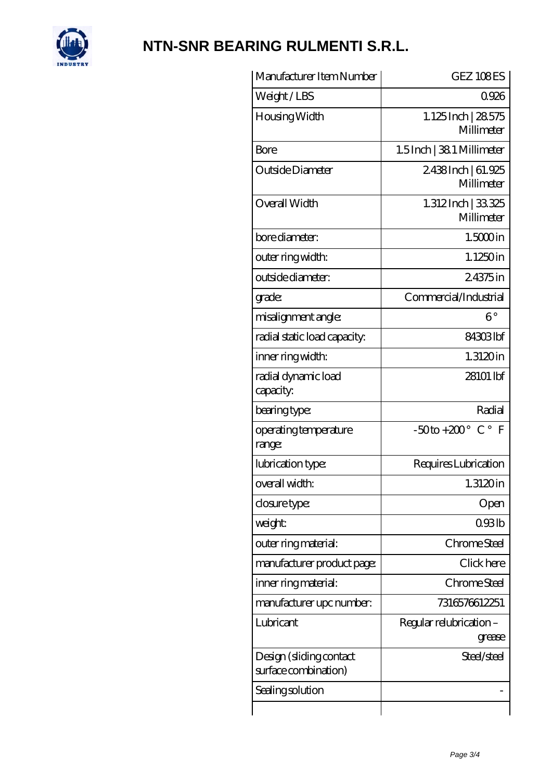

| Manufacturer Item Number                        | GEZ 108ES                               |
|-------------------------------------------------|-----------------------------------------|
| Weight/LBS                                      | 0926                                    |
| Housing Width                                   | 1.125Inch   28.575<br>Millimeter        |
| Bore                                            | $1.5$ Inch   38.1 Millimeter            |
| Outside Diameter                                | 2438Inch   61.925<br>Millimeter         |
| Overall Width                                   | 1.312Inch   33325<br>Millimeter         |
| bore diameter:                                  | $1.5000$ in                             |
| outer ring width:                               | 1.1250in                                |
| outside diameter:                               | 24375in                                 |
| grade:                                          | Commercial/Industrial                   |
| misalignment angle:                             | $6^{\circ}$                             |
| radial static load capacity:                    | 84303lbf                                |
| inner ring width:                               | $1.3120$ in                             |
| radial dynamic load<br>capacity:                | 28101 lbf                               |
| bearing type:                                   | Radial                                  |
| operating temperature<br>range:                 | $-50$ to +200 $^{\circ}$ C $^{\circ}$ F |
| lubrication type:                               | Requires Lubrication                    |
| overall width:                                  | $1.3120$ in                             |
| closure type:                                   | Open                                    |
| weight:                                         | 093lb                                   |
| outer ring material:                            | Chrome Steel                            |
| manufacturer product page:                      | Click here                              |
| inner ring material:                            | Chrome Steel                            |
| manufacturer upc number:                        | 7316576612251                           |
| Lubricant                                       | Regular relubrication -<br>grease       |
| Design (sliding contact<br>surface combination) | Steel/steel                             |
| Sealing solution                                |                                         |
|                                                 |                                         |